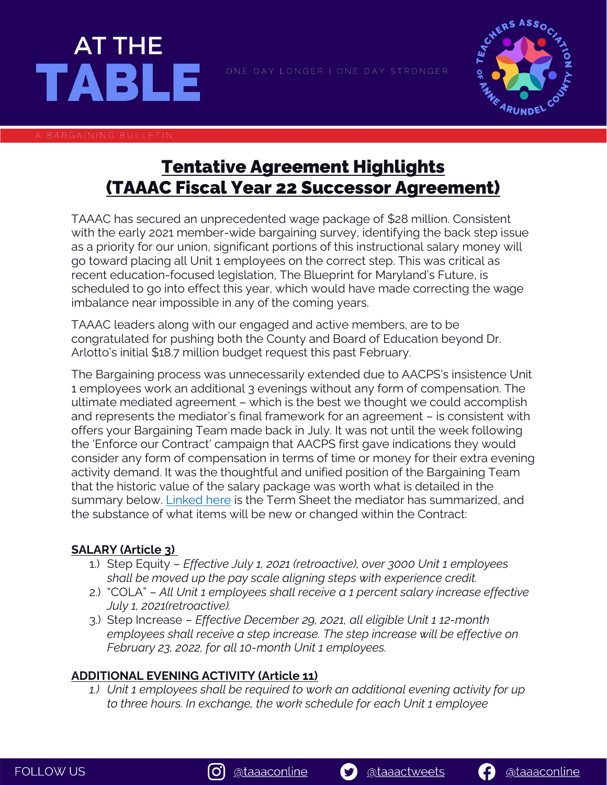



# Tentative Agreement Highlights (TAAAC Fiscal Year 22 Successor Agreement)

TAAAC has secured an unprecedented wage package of \$28 million. Consistent with the early 2021 member-wide bargaining survey, identifying the back step issue as a priority for our union, significant portions of this instructional salary money will go toward placing all Unit 1 employees on the correct step. This was critical as recent education-focused legislation, The Blueprint for Maryland's Future, is scheduled to go into effect this year, which would have made correcting the wage imbalance near impossible in any of the coming years.

TAAAC leaders along with our engaged and active members, are to be congratulated for pushing both the County and Board of Education beyond Dr. Arlotto's initial \$18.7 million budget request this past February.

The Bargaining process was unnecessarily extended due to AACPS's insistence Unit 1 employees work an additional 3 evenings without any form of compensation. The ultimate mediated agreement – which is the best we thought we could accomplish and represents the mediator's final framework for an agreement – is consistent with offers your Bargaining Team made back in July. It was not until the week following the 'Enforce our Contract' campaign that AACPS first gave indications they would consider any form of compensation in terms of time or money for their extra evening activity demand. It was the thoughtful and unified position of the Bargaining Team that the historic value of the salary package was worth what is detailed in the summary below. [Linked here](https://taaaconline.org/wp-content/uploads/2021/12/AABOE-TAAACTermSheetFY2021-22-Signed.pdf) is the Term Sheet the mediator has summarized, and the substance of what items will be new or changed within the Contract:

## **SALARY (Article 3)**

- 1.) Step Equity *Effective July 1, 2021 (retroactive), over 3000 Unit 1 employees shall be moved up the pay scale aligning steps with experience credit.*
- 2.) "COLA" *All Unit 1 employees shall receive a 1 percent salary increase effective July 1, 2021(retroactive).*
- 3.) Step Increase *Effective December 29, 2021, all eligible Unit 1 12-month employees shall receive a step increase. The step increase will be effective on February 23, 2022, for all 10-month Unit 1 employees.*

## **ADDITIONAL EVENING ACTIVITY (Article 11)**

*1.) Unit 1 employees shall be required to work an additional evening activity for up to three hours. In exchange, the work schedule for each Unit 1 employee* 



S)